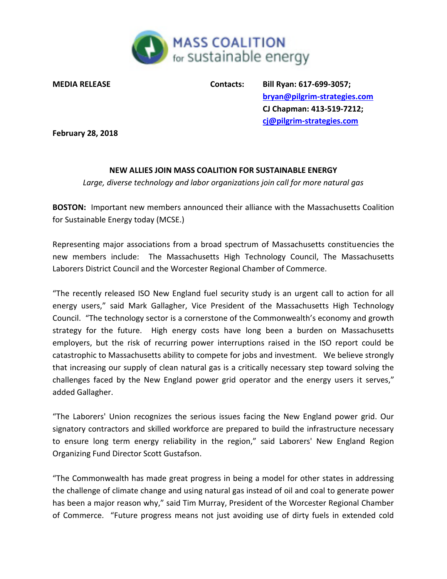

**MEDIA RELEASE Contacts: Bill Ryan: 617-699-3057; [bryan@pilgrim-strategies.com](mailto:bryan@pilgrim-strategies.com) CJ Chapman: 413-519-7212; [cj@pilgrim-strategies.com](mailto:cj@pilgrim-strategies.com)**

**February 28, 2018**

## **NEW ALLIES JOIN MASS COALITION FOR SUSTAINABLE ENERGY**

*Large, diverse technology and labor organizations join call for more natural gas*

**BOSTON:** Important new members announced their alliance with the Massachusetts Coalition for Sustainable Energy today (MCSE.)

Representing major associations from a broad spectrum of Massachusetts constituencies the new members include: The Massachusetts High Technology Council, The Massachusetts Laborers District Council and the Worcester Regional Chamber of Commerce.

"The recently released ISO New England fuel security study is an urgent call to action for all energy users," said Mark Gallagher, Vice President of the Massachusetts High Technology Council. "The technology sector is a cornerstone of the Commonwealth's economy and growth strategy for the future. High energy costs have long been a burden on Massachusetts employers, but the risk of recurring power interruptions raised in the ISO report could be catastrophic to Massachusetts ability to compete for jobs and investment. We believe strongly that increasing our supply of clean natural gas is a critically necessary step toward solving the challenges faced by the New England power grid operator and the energy users it serves," added Gallagher.

"The Laborers' Union recognizes the serious issues facing the New England power grid. Our signatory contractors and skilled workforce are prepared to build the infrastructure necessary to ensure long term energy reliability in the region," said Laborers' New England Region Organizing Fund Director Scott Gustafson.

"The Commonwealth has made great progress in being a model for other states in addressing the challenge of climate change and using natural gas instead of oil and coal to generate power has been a major reason why," said Tim Murray, President of the Worcester Regional Chamber of Commerce. "Future progress means not just avoiding use of dirty fuels in extended cold